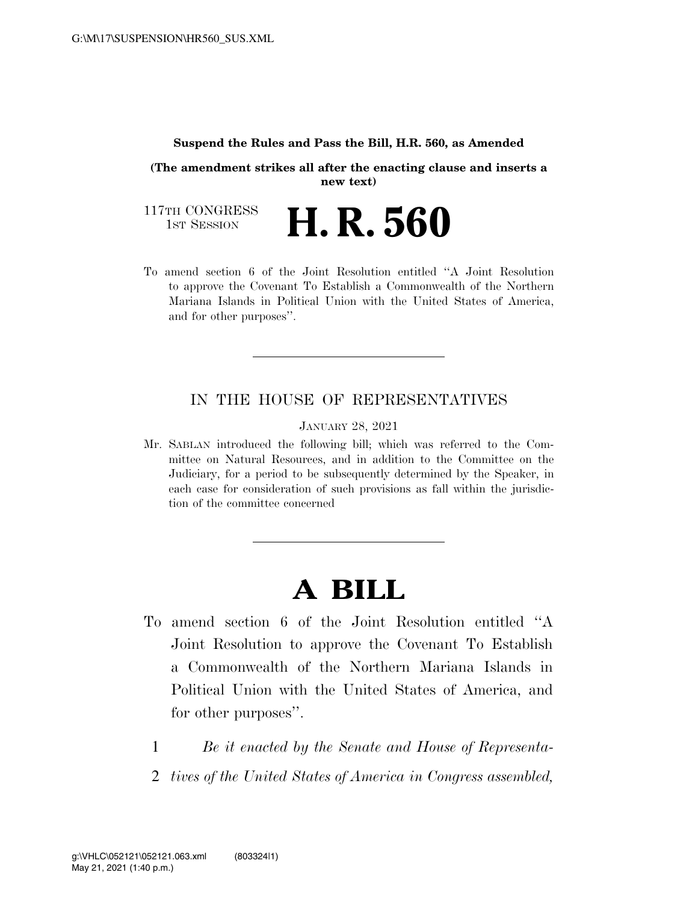#### **Suspend the Rules and Pass the Bill, H.R. 560, as Amended**

**(The amendment strikes all after the enacting clause and inserts a new text)** 

117TH CONGRESS<br>1st Session 1ST SESSION **H. R. 560** 

To amend section 6 of the Joint Resolution entitled ''A Joint Resolution to approve the Covenant To Establish a Commonwealth of the Northern Mariana Islands in Political Union with the United States of America, and for other purposes''.

### IN THE HOUSE OF REPRESENTATIVES

JANUARY 28, 2021

Mr. SABLAN introduced the following bill; which was referred to the Committee on Natural Resources, and in addition to the Committee on the Judiciary, for a period to be subsequently determined by the Speaker, in each case for consideration of such provisions as fall within the jurisdiction of the committee concerned

# **A BILL**

- To amend section 6 of the Joint Resolution entitled ''A Joint Resolution to approve the Covenant To Establish a Commonwealth of the Northern Mariana Islands in Political Union with the United States of America, and for other purposes''.
	- 1 *Be it enacted by the Senate and House of Representa-*
	- 2 *tives of the United States of America in Congress assembled,*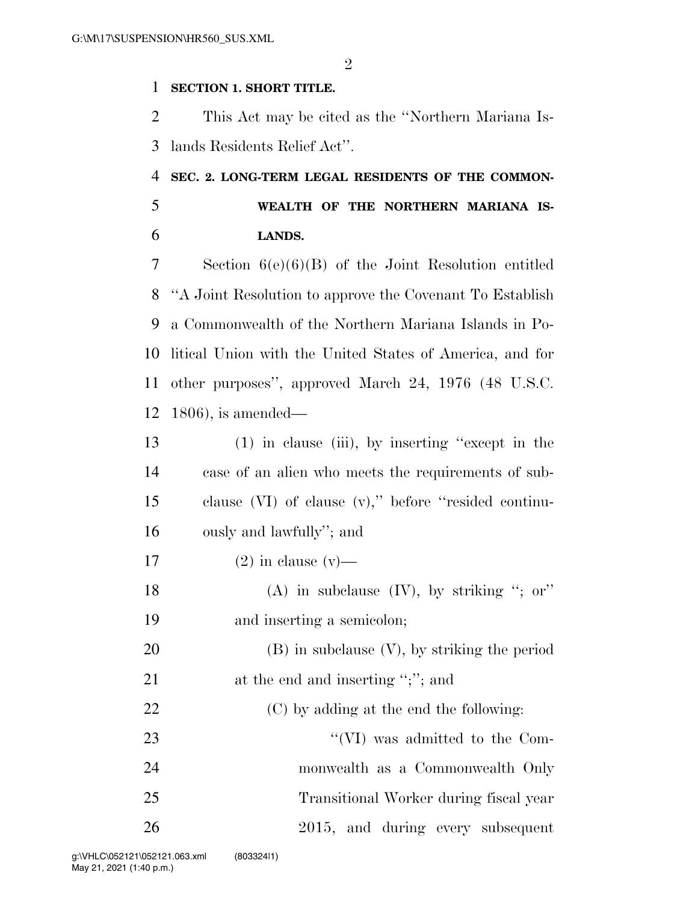### **SECTION 1. SHORT TITLE.**

 This Act may be cited as the ''Northern Mariana Is-lands Residents Relief Act''.

## **SEC. 2. LONG-TERM LEGAL RESIDENTS OF THE COMMON- WEALTH OF THE NORTHERN MARIANA IS-LANDS.**

 Section 6(e)(6)(B) of the Joint Resolution entitled ''A Joint Resolution to approve the Covenant To Establish a Commonwealth of the Northern Mariana Islands in Po- litical Union with the United States of America, and for other purposes'', approved March 24, 1976 (48 U.S.C. 1806), is amended—

| 13 | $(1)$ in clause (iii), by inserting "except in the        |
|----|-----------------------------------------------------------|
| 14 | case of an alien who meets the requirements of sub-       |
| 15 | clause $(VI)$ of clause $(v)$ ," before "resided continu- |
| 16 | ously and lawfully"; and                                  |
| 17 | $(2)$ in clause $(v)$ —                                   |
| 18 | (A) in subclause $(IV)$ , by striking "; or"              |
| 19 | and inserting a semicolon;                                |
| 20 | $(B)$ in subclause $(V)$ , by striking the period         |
| 21 | at the end and inserting ";"; and                         |
| 22 | (C) by adding at the end the following:                   |
| 23 | "(VI) was admitted to the Com-                            |

 monwealth as a Commonwealth Only Transitional Worker during fiscal year 2015, and during every subsequent